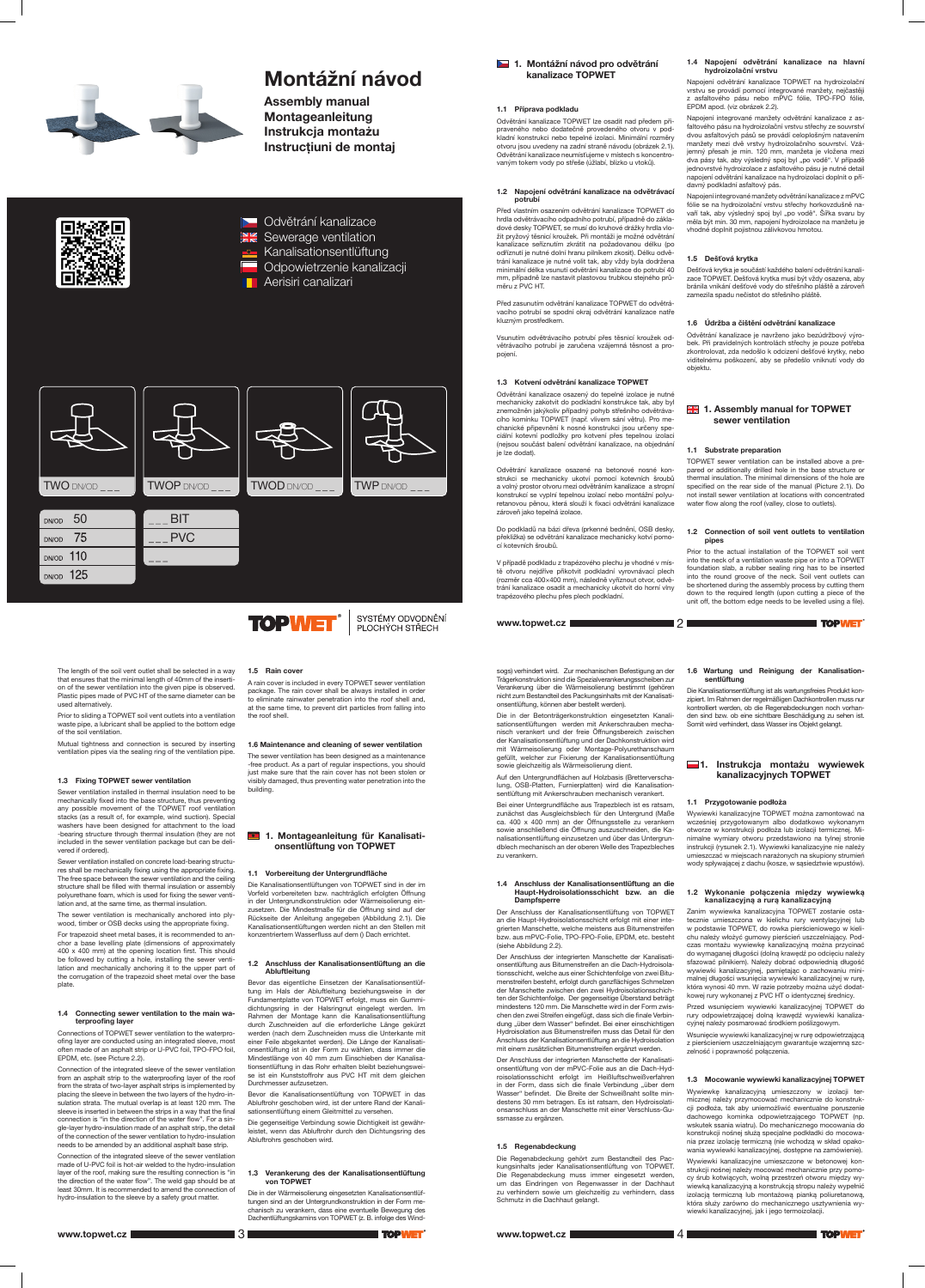

# Montážní návod

Assembly manual Montageanleitung Instrukcja montażu Instrucțiuni de montaj



DN/OD 110 DN/OD 125

- **EXAL** Kanalisationsentlüftung
- Odpowietrzenie kanalizacji
- Aerisiri canalizari



1. Montážní návod pro odvětrání kanalizace TOPWET

# 1.1 Příprava podkladu

Odvětrání kanalizace TOPWET lze osadit nad předem připraveného nebo dodatečně provedeného otvoru v podkladní konstrukci nebo tepelné izolaci. Minimální rozměry otvoru jsou uvedeny na zadní straně návodu (obrázek 2.1). Odvětrání kanalizace neumísťujeme v místech s koncentrovaným tokem vody po střeše (úžlabí, blízko u vtoků).

### 1.2 Napojení odvětrání kanalizace na odvětrávací potrubí

Před vlastním osazením odvětrání kanalizace TOPWET do hrdla odvětrávacího odpadního potrubí, případně do základové desky TOPWET, se musí do kruhové drážky hrdla vložit pryžový těsnicí kroužek. Při montáži je možné odvětrání kanalizace seříznutím zkrátit na požadovanou délku (po odříznutí je nutné dolní hranu pilníkem zkosit). Délku odvětrání kanalizace je nutné volit tak, aby vždy byla dodržena minimální délka vsunutí odvětrání kanalizace do potrubí 40 mm, případně lze nastavit plastovou trubkou stejného průměru z PVC HT.

Před zasunutím odvětrání kanalizace TOPWET do odvětrávacího potrubí se spodní okraj odvětrání kanalizace natře kluzným prostředkem.

Vsunutím odvětrávacího potrubí přes těsnicí kroužek odvětrávacího potrubí je zaručena vzájemná těsnost a propojení.

# 1.3 Kotvení odvětrání kanalizace TOPWET

Odvětrání kanalizace osazený do tepelné izolace je nutné mechanicky zakotvit do podkladní konstrukce tak, aby byl znemožněn jakýkoliv případný pohyb střešního odvětrávacího komínku TOPWET (např. vlivem sání větru). Pro mechanické připevnění k nosné konstrukci jsou určeny speciální kotevní podložky pro kotvení přes tepelnou izolaci (nejsou součást balení odvětrání kanalizace, na objednání je lze dodat).

Odvětrání kanalizace osazené na betonové nosné konstrukci se mechanicky ukotví pomocí kotevních šroubů a volný prostor otvoru mezi odvětráním kanalizace a stropní konstrukcí se vyplní tepelnou izolací nebo montážní polyuretanovou pěnou, která slouží k fixaci odvětrání kanalizace zároveň jako tepelná izolace.

# **ER 1. Assembly manual for TOPWET** sewer ventilation

Do podkladů na bázi dřeva (prkenné bednění, OSB desky, překližka) se odvětrání kanalizace mechanicky kotví pomocí kotevních šroubů.

V případě podkladu z trapézového plechu je vhodné v místě otvoru nejdříve přikotvit podkladní vyrovnávací plech (rozměr cca 400×400 mm), následně vyříznout otvor, odvětrání kanalizace osadit a mechanicky ukotvit do horní vlny trapézového plechu přes plech podkladní.

#### 1.4 Napojení odvětrání kanalizace na hlavní hydroizolační vrstvu

Napojení odvětrání kanalizace TOPWET na hydroizolační vrstvu se provádí pomocí integrované manžety, nejčastěji z asfaltového pásu nebo mPVC fólie, TPO-FPO fólie, EPDM apod. (viz obrázek 2.2).

Napojení integrované manžety odvětrání kanalizace z asfaltového pásu na hydroizolační vrstvu střechy ze souvrství dvou asfaltových pásů se provádí celoplošným natavením manžety mezi dvě vrstvy hydroizolačního souvrství. Vzájemný přesah je min. 120 mm, manžeta je vložena mezi dva pásy tak, aby výsledný spoj byl "po vodě". V případě jednovrstvé hydroizolace z asfaltového pásu je nutné detail napojení odvětrání kanalizace na hydroizolaci doplnit o přídavný podkladní asfaltový pás.

#### 1.4 Connecting sewer ventilation to the main waterproofing layer

Napojení integrované manžety odvětrání kanalizace z mPVC fólie se na hydroizolační vrstvu střechy horkovzdušně navaří tak, aby výsledný spoj byl "po vodě". Šířka svaru by měla být min. 30 mm, napojení hydroizolace na manžetu je vhodné doplnit pojistnou zálivkovou hmotou.

# 1.5 Dešťová krytka

Dešťová krytka je součástí každého balení odvětrání kanalizace TOPWET. Dešťová krytka musí být vždy osazena, aby bránila vnikání dešťové vody do střešního pláště a zároveň zamezila spadu nečistot do střešního pláště.

# 1.6 Údržba a čištění odvětrání kanalizace

Odvětrání kanalizace je navrženo jako bezúdržbový výrobek. Při pravidelných kontrolách střechy je pouze potřeba zkontrolovat, zda nedošlo k odcizení dešťové krytky, nebo viditelnému poškození, aby se předešlo vniknutí vody do objektu.

# 1.1 Substrate preparation

■21

# 1. Montageanleitung für Kanalisationsentlüftung von TOPWET

TOPWET sewer ventilation can be installed above a prepared or additionally drilled hole in the base structure or thermal insulation. The minimal dimensions of the hole are specified on the rear side of the manual (Picture 2.1). Do not install sewer ventilation at locations with concentrated water flow along the roof (valley, close to outlets).

### 1.2 Connection of soil vent outlets to ventilation pipes

Prior to the actual installation of the TOPWET soil vent into the neck of a ventilation waste pipe or into a TOPWET foundation slab, a rubber sealing ring has to be inserted into the round groove of the neck. Soil vent outlets can be shortened during the assembly process by cutting them down to the required length (upon cutting a piece of the unit off, the bottom edge needs to be levelled using a file).

#### The length of the soil vent outlet shall be selected in a way that ensures that the minimal length of 40mm of the insertion of the sewer ventilation into the given pipe is observed. Plastic pipes made of PVC HT of the same diameter can be used alternatively.

Prior to sliding a TOPWET soil vent outlets into a ventilation waste pipe, a lubricant shall be applied to the bottom edge of the soil ventilation.

Mutual tightness and connection is secured by inserting ventilation pipes via the sealing ring of the ventilation pipe.

# 1.3 Fixing TOPWET sewer ventilation

Sewer ventilation installed in thermal insulation need to be mechanically fixed into the base structure, thus preventing any possible movement of the TOPWET roof ventilation stacks (as a result of, for example, wind suction). Special washers have been designed for attachment to the load -bearing structure through thermal insulation (they are not included in the sewer ventilation package but can be delivered if ordered).

Sewer ventilation installed on concrete load-bearing structures shall be mechanically fixing using the appropriate fixing. The free space between the sewer ventilation and the ceiling structure shall be filled with thermal insulation or assembly polyurethane foam, which is used for fixing the sewer ventilation and, at the same time, as thermal insulation.

The sewer ventilation is mechanically anchored into plywood, timber or OSB decks using the appropriate fixing. For trapezoid sheet metal bases, it is recommended to an-

chor a base levelling plate (dimensions of approximately 400 x 400 mm) at the opening location first. This should be followed by cutting a hole, installing the sewer ventilation and mechanically anchoring it to the upper part of the corrugation of the trapezoid sheet metal over the base plate.

# 1. Instrukcja montażu wywiewek kanalizacyjnych TOPWET

Connections of TOPWET sewer ventilation to the waterproofing layer are conducted using an integrated sleeve, most often made of an asphalt strip or U-PVC foil, TPO-FPO foil, EPDM, etc. (see Picture 2.2).

Connection of the integrated sleeve of the sewer ventilation from an asphalt strip to the waterproofing layer of the roof from the strata of two-layer asphalt strips is implemented by placing the sleeve in between the two layers of the hydro-insulation strata. The mutual overlap is at least 120 mm. The sleeve is inserted in between the strips in a way that the final connection is "in the direction of the water flow". For a single-layer hydro-insulation made of an asphalt strip, the detail of the connection of the sewer ventilation to hydro-insulation needs to be amended by an additional asphalt base strip.

Connection of the integrated sleeve of the sewer ventilation made of U-PVC foil is hot-air welded to the hydro-insulation layer of the roof, making sure the resulting connection is "in the direction of the water flow". The weld gap should be at least 30mm. It is recommended to amend the connection of hydro-insulation to the sleeve by a safety grout matter.

1.5 Rain cover







A rain cover is included in every TOPWET sewer ventilation package. The rain cover shall be always installed in order to eliminate rainwater penetration into the roof shell and, at the same time, to prevent dirt particles from falling into the roof shell.

# 1.6 Maintenance and cleaning of sewer ventilation

The sewer ventilation has been designed as a maintenance -free product. As a part of regular inspections, you should just make sure that the rain cover has not been stolen or visibly damaged, thus preventing water penetration into the building.

# 1.1 Vorbereitung der Untergrundfläche

Die Kanalisationsentlüftungen von TOPWET sind in der im Vorfeld vorbereiteten bzw. nachträglich erfolgten Öffnung in der Untergrundkonstruktion oder Wärmeisolierung einzusetzen. Die Mindestmaße für die Öffnung sind auf der Rückseite der Anleitung angegeben (Abbildung 2.1). Die Kanalisationsentlüftungen werden nicht an den Stellen mit konzentriertem Wasserfluss auf dem () Dach errichtet.

# 1.2 Anschluss der Kanalisationsentlüftung an die Abluftleitung

Bevor das eigentliche Einsetzen der Kanalisationsentlüftung im Hals der Abluftleitung beziehungsweise in der Fundamentplatte von TOPWET erfolgt, muss ein Gummidichtungsring in der Halsringnut eingelegt werden. Im Rahmen der Montage kann die Kanalisationsentlüftung durch Zuschneiden auf die erforderliche Länge gekürzt werden (nach dem Zuschneiden muss die Unterkante mit einer Feile abgekantet werden). Die Länge der Kanalisationsentlüftung ist in der Form zu wählen, dass immer die Mindestlänge von 40 mm zum Einschieben der Kanalisationsentlüftung in das Rohr erhalten bleibt beziehungsweise ist ein Kunststoffrohr aus PVC HT mit dem gleichen Durchmesser aufzusetzen.

Bevor die Kanalisationsentlüftung von TOPWET in das Abluftrohr geschoben wird, ist der untere Rand der Kanalisationsentlüftung einem Gleitmittel zu versehen.

Die gegenseitige Verbindung sowie Dichtigkeit ist gewährleistet, wenn das Abluftrohr durch den Dichtungsring des Abluftrohrs geschoben wird.

### 1.3 Verankerung des der Kanalisationsentlüftung von TOPWET

Die in der Wärmeisolierung eingesetzten Kanalisationsentlüftungen sind an der Untergrundkonstruktion in der Form mechanisch zu verankern, dass eine eventuelle Bewegung des Dachentlüftungskamins von TOPWET (z. B. infolge des Wind-

www.topwet.cz  $\blacksquare$  3  $\blacksquare$  3  $\blacksquare$   $\blacksquare$   $\blacksquare$   $\blacksquare$   $\blacksquare$   $\blacksquare$   $\blacksquare$   $\blacksquare$   $\blacksquare$   $\blacksquare$   $\blacksquare$   $\blacksquare$   $\blacksquare$   $\blacksquare$   $\blacksquare$   $\blacksquare$   $\blacksquare$   $\blacksquare$   $\blacksquare$   $\blacksquare$   $\blacksquare$   $\blacksquare$   $\blacksquare$   $\blacksquare$   $\blacksquare$   $\blacksquare$   $\blacksquare$ 

sogs) verhindert wird. Zur mechanischen Befestigung an der Trägerkonstruktion sind die Spezialverankerungsscheiben zur Verankerung über die Wärmeisolierung bestimmt (gehören nicht zum Bestandteil des Packungsinhalts mit der Kanalisationsentlüftung, können aber bestellt werden).

Die in der Betonträgerkonstruktion eingesetzten Kanalisationsentlüftungen werden mit Ankerschrauben mechanisch verankert und der freie Öffnungsbereich zwischen der Kanalisationsentlüftung und der Dachkonstruktion wird mit Wärmeisolierung oder Montage-Polyurethanschaum gefüllt, welcher zur Fixierung der Kanalisationsentlüftung sowie gleichzeitig als Wärmeisolierung dient.

Auf den Untergrundflächen auf Holzbasis (Bretterverschalung, OSB-Platten, Furnierplatten) wird die Kanalisationsentlüftung mit Ankerschrauben mechanisch verankert.

Bei einer Untergrundfläche aus Trapezblech ist es ratsam, zunächst das Ausgleichsblech für den Untergrund (Maße ca. 400 x 400 mm) an der Öffnungsstelle zu verankern sowie anschließend die Öffnung auszuschneiden, die Kanalisationsentlüftung einzusetzen und über das Untergrundblech mechanisch an der oberen Welle des Trapezbleches zu verankern.

### 1.4 Anschluss der Kanalisationsentlüftung an die Haupt-Hydroisolationsschicht bzw. an die Dampfsperre

Der Anschluss der Kanalisationsentlüftung von TOPWET an die Haupt-Hydroisolationsschicht erfolgt mit einer integrierten Manschette, welche meistens aus Bitumenstreifen bzw. aus mPVC-Folie, TPO-FPO-Folie, EPDM, etc. besteht

(siehe Abbildung 2.2).



Der Anschluss der integrierten Manschette der Kanalisationsentlüftung aus Bitumenstreifen an die Dach-Hydroisolationsschicht, welche aus einer Schichtenfolge von zwei Bitumenstreifen besteht, erfolgt durch ganzflächiges Schmelzen der Manschette zwischen den zwei Hydroisolationsschichten der Schichtenfolge. Der gegenseitige Überstand beträgt mindestens 120 mm. Die Manschette wird in der Form zwischen den zwei Streifen eingefügt, dass sich die finale Verbindung "über dem Wasser" befindet. Bei einer einschichtigen Hydroisolation aus Bitumenstreifen muss das Detail für den Anschluss der Kanalisationsentlüftung an die Hydroisolation mit einem zusätzlichen Bitumenstreifen ergänzt werden. Der Anschluss der integrierten Manschette der Kanalisationsentlüftung von der mPVC-Folie aus an die Dach-Hydroisolationsschicht erfolgt im Heißluftschweißverfahren in der Form, dass sich die finale Verbindung "über dem Wasser" befindet. Die Breite der Schweißnaht sollte mindestens 30 mm betragen. Es ist ratsam, den Hydroisolationsanschluss an der Manschette mit einer Verschluss-Gu-

ssmasse zu ergänzen.

1.5 Regenabdeckung

Die Regenabdeckung gehört zum Bestandteil des Packungsinhalts jeder Kanalisationsentlüftung von TOPWET. Die Regenabdeckung muss immer eingesetzt werden, um das Eindringen von Regenwasser in der Dachhaut zu verhindern sowie um gleichzeitig zu verhindern, dass

Schmutz in die Dachhaut gelangt.

# 1.6 Wartung und Reinigung der Kanalisationsentlüftung

**TOPWET** 

Die Kanalisationsentlüftung ist als wartungsfreies Produkt konzipiert. Im Rahmen der regelmäßigen Dachkontrollen muss nur kontrolliert werden, ob die Regenabdeckungen noch vorhanden sind bzw. ob eine sichtbare Beschädigung zu sehen ist. Somit wird verhindert, dass Wasser ins Objekt gelangt.

# 1.1 Przygotowanie podłoża

Wywiewki kanalizacyjne TOPWET można zamontować na wcześniej przygotowanym albo dodatkowo wykonanym otworze w konstrukcji podłoża lub izolacji termicznej. Minimalne wymiary otworu przedstawiono na tylnej stronie instrukcji (rysunek 2.1). Wywiewki kanalizacyjne nie należy umieszczać w miejscach narażonych na skupiony strumień wody spływającej z dachu (kosze, w sąsiedztwie wpustów).

# 1.2 Wykonanie połączenia między wywiewką kanalizacyjną a rurą kanalizacyjną

Zanim wywiewka kanalizacyjna TOPWET zostanie ostatecznie umieszczona w kielichu rury wentylacyjnej lub w podstawie TOPWET, do rowka pierścieniowego w kielichu należy włożyć gumowy pierścień uszczelniający. Podczas montażu wywiewkę kanalizacyjną można przycinać do wymaganej długości (dolną krawędź po odcięciu należy sfazować pilnikiem). Należy dobrać odpowiednią długość wywiewki kanalizacyjnej, pamiętając o zachowaniu minimalnej długości wsunięcia wywiewki kanalizacyjnej w rurę. która wynosi 40 mm. W razie potrzeby można użyć dodatkowej rury wykonanej z PVC HT o identycznej średnicy.

Przed wsunięciem wywiewki kanalizacyjnej TOPWET do rury odpowietrzającej dolną krawędź wywiewki kanalizacyjnej należy posmarować środkiem poślizgowym.

Wsunięcie wywiewki kanalizacyjnej w rurę odpowietrzającą z pierścieniem uszczelniającym gwarantuje wzajemną szczelność i poprawność połączenia.

# 1.3 Mocowanie wywiewki kanalizacyjnej TOPWET

Wywiewkę kanalizacyjną umieszczony w izolacji termicznej należy przymocować mechanicznie do konstrukcji podłoża, tak aby uniemożliwić ewentualne poruszenie dachowego kominka odpowietrzającego TOPWET (np. wskutek ssania wiatru). Do mechanicznego mocowania do konstrukcji nośnej służą specjalne podkładki do mocowania przez izolację termiczną (nie wchodzą w skład opakowania wywiewki kanalizacyjnej, dostępne na zamówienie).

Wywiewki kanalizacyjne umieszczone w betonowej konstrukcji nośnej należy mocować mechanicznie przy pomocy śrub kotwiących, wolną przestrzeń otworu między wywiewką kanalizacyjną a konstrukcją stropu należy wypełnić izolacją termiczną lub montażową pianką poliuretanową, która służy zarówno do mechanicznego usztywnienia wywiewki kanalizacyjnej, jak i jego termoizolacji.

www.topwet.cz